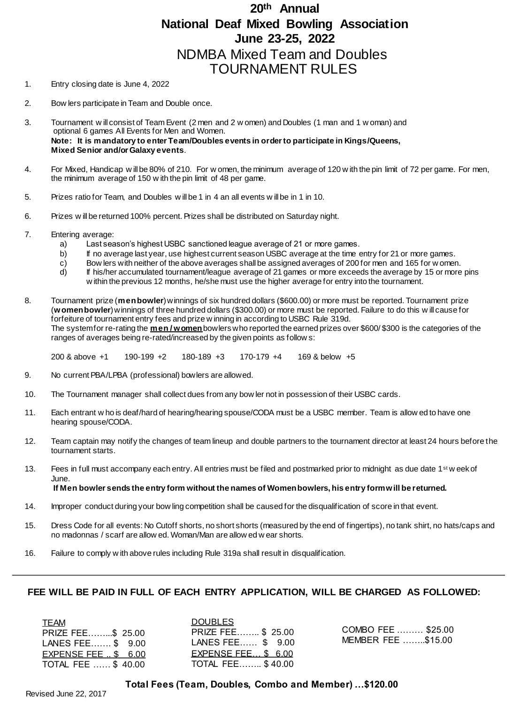## **20th Annual National Deaf Mixed Bowling Association June 23-25, 2022** NDMBA Mixed Team and Doubles TOURNAMENT RULES

- 1. Entry closing date is June 4, 2022
- 2. Bow lers participate in Team and Double once.
- 3. Tournament w ill consist of Team Event (2 men and 2 w omen) and Doubles (1 man and 1 w oman) and optional 6 games All Events for Men and Women. **Note: It is mandatory to enter Team/Doubles events in order to participate in Kings/Queens, Mixed Senior and/or Galaxy events**.
- 4. For Mixed, Handicap w ill be 80% of 210. For w omen, the minimum average of 120 w ith the pin limit of 72 per game. For men, the minimum average of 150 w ith the pin limit of 48 per game.
- 5. Prizes ratio for Team, and Doubles w ill be 1 in 4 an all events w ill be in 1 in 10.
- 6. Prizes w ill be returned 100% percent. Prizes shall be distributed on Saturday night.
- 7. Entering average:
	- a) Last season's highest USBC sanctioned league average of 21 or more games.
	- b) If no average last year, use highest current season USBC average at the time entry for 21 or more games.
	- c) Bow lers with neither of the above averages shall be assigned averages of 200 for men and 165 for w omen.<br>d) If his/her accumulated tournament/league average of 21 games or more exceeds the average by 15 or more
	- d) If his/her accumulated tournament/league average of 21 games or more exceeds the average by 15 or more pins w ithin the previous 12 months, he/she must use the higher average for entry into the tournament.
- 8. Tournament prize (**men bowler**) winnings of six hundred dollars (\$600.00) or more must be reported. Tournament prize (**women bowler**) winnings of three hundred dollars (\$300.00) or more must be reported. Failure to do this w ill cause for forfeiture of tournament entry fees and prize w inning in according to USBC Rule 319d. The system for re-rating the **men / women** bowlers who reported the earned prizes over \$600/ \$300 is the categories of the ranges of averages being re-rated/increased by the given points as follow s:

200 & above +1 190-199 +2 180-189 +3 170-179 +4 169 & below +5

- 9. No current PBA/LPBA (professional) bowlers are allowed.
- 10. The Tournament manager shall collect dues from any bow ler not in possession of their USBC cards.
- 11. Each entrant w ho is deaf/hard of hearing/hearing spouse/CODA must be a USBC member. Team is allow ed to have one hearing spouse/CODA.
- 12. Team captain may notify the changes of team lineup and double partners to the tournament director at least 24 hours before the tournament starts.
- 13. Fees in full must accompany each entry. All entries must be filed and postmarked prior to midnight as due date 1<sup>st</sup> w eek of June. **If Men bowler sends the entry form without the names of Women bowlers, his entry form will be returned.**
- 14. Improper conduct during your bow ling competition shall be caused for the disqualification of score in that event.
- 15. Dress Code for all events: No Cutoff shorts, no short shorts (measured by the end of fingertips), no tank shirt, no hats/caps and no madonnas / scarf are allow ed. Woman/Man are allow ed w ear shorts.
- 16. Failure to comply w ith above rules including Rule 319a shall result in disqualification.

### **FEE WILL BE PAID IN FULL OF EACH ENTRY APPLICATION, WILL BE CHARGED AS FOLLOWED:**

| <b>TEAM</b>                 |  |
|-----------------------------|--|
| PRIZE FEE\$ 25.00           |  |
| LANES FEE \$ 9.00           |  |
| EXPENSE FEE $\cdot$ \$ 6.00 |  |
| TOTAL FEE  \$40.00          |  |

**DOUBLES** PRIZE FEE…….. \$ 25.00 LANES FEE…… \$ 9.00 EXPENSE FEE… \$ 6.00 TOTAL FEE…….. \$ 40.00

COMBO FEE ……… \$25.00 MEMBER FEE ……..\$15.00

**Total Fees (Team, Doubles, Combo and Member) …\$120.00**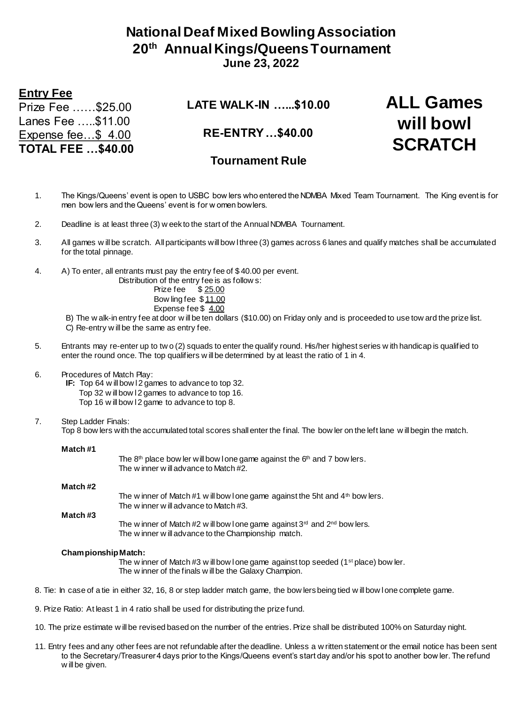## **National Deaf Mixed Bowling Association 20th Annual Kings/Queens Tournament June 23, 2022**

## **Entry Fee**

Prize Fee ……\$25.00 Lanes Fee …..\$11.00 Expense fee…\$ 4.00 **TOTAL FEE …\$40.00** **LATE WALK-IN …...\$10.00**

**ALL Games** 

**will bowl** 

**SCRATCH**

**RE-ENTRY …\$40.00**

## **Tournament Rule**

- 1. The Kings/Queens' event is open to USBC bow lers who entered the NDMBA Mixed Team Tournament. The King event is for men bow lers and the Queens' event is for w omen bowlers.
- 2. Deadline is at least three (3) w eek to the start of the Annual NDMBA Tournament.
- 3. All games w ill be scratch. All participants will bow l three (3) games across 6 lanes and qualify matches shall be accumulated for the total pinnage.
- 4. A) To enter, all entrants must pay the entry fee of \$ 40.00 per event.

Distribution of the entry fee is as follow s:

Prize fee \$ 25.00 Bow ling fee \$ 11.00 Expense fee \$ 4.00

B) The w alk-in entry fee at door w ill be ten dollars (\$10.00) on Friday only and is proceeded to use tow ard the prize list. C) Re-entry w ill be the same as entry fee.

5. Entrants may re-enter up to tw o (2) squads to enter the qualify round. His/her highest series w ith handicap is qualified to enter the round once. The top qualifiers w ill be determined by at least the ratio of 1 in 4.

### 6. Procedures of Match Play:

**IF:** Top 64 w ill bow 12 games to advance to top 32.

- Top 32 w ill bow I 2 games to advance to top 16.
- Top 16 w ill bow I 2 game to advance to top 8.
- 7. Step Ladder Finals: Top 8 bow lers with the accumulated total scores shall enter the final. The bow ler on the left lane w ill begin the match.

#### **Match #1**

The  $8<sup>th</sup>$  place bow ler will bow I one game against the  $6<sup>th</sup>$  and 7 bow lers. The w inner w ill advance to Match #2.

| Match #2 |                                                                                                                                        |
|----------|----------------------------------------------------------------------------------------------------------------------------------------|
| Match #3 | The w inner of Match #1 w ill bow I one game against the 5ht and $4th$ bow lers.<br>The winner will advance to Match #3.               |
|          | The w inner of Match #2 w ill bow I one game against $3rd$ and $2nd$ bow lers.<br>The w inner w ill advance to the Championship match. |

### **Championship Match:**

The w inner of Match  $\#3$  w ill bow l one game against top seeded (1<sup>st</sup> place) bow ler. The w inner of the finals w ill be the Galaxy Champion.

- 8. Tie: In case of a tie in either 32, 16, 8 or step ladder match game, the bow lers being tied w ill bow l one complete game.
- 9. Prize Ratio: At least 1 in 4 ratio shall be used for distributing the prize fund.
- 10. The prize estimate w ill be revised based on the number of the entries. Prize shall be distributed 100% on Saturday night.
- 11. Entry fees and any other fees are not refundable after the deadline. Unless a w ritten statement or the email notice has been sent to the Secretary/Treasurer 4 days prior to the Kings/Queens event's start day and/or his spot to another bow ler. The refund w ill be given.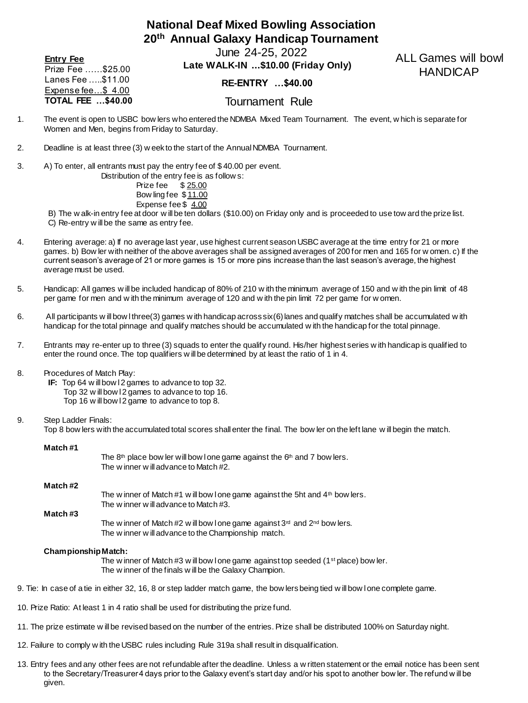## **National Deaf Mixed Bowling Association 20th Annual Galaxy Handicap Tournament**

June 24-25, 2022 **Entry Fee**

Prize Fee ……\$25.00 Lanes Fee …..\$11.00 Expense fee…\$ 4.00 **TOTAL FEE …\$40.00**

## **Late WALK-IN ...\$10.00 (Friday Only) RE-ENTRY …\$40.00**

ALL Games will bowl HANDICAP

Tournament Rule

- 1. The event is open to USBC bow lers who entered the NDMBA Mixed Team Tournament. The event, w hich is separate for Women and Men, begins from Friday to Saturday.
- 2. Deadline is at least three (3) w eek to the start of the Annual NDMBA Tournament.
- 3. A) To enter, all entrants must pay the entry fee of \$ 40.00 per event.

| Distribution of the entry fee is as follow s: |
|-----------------------------------------------|
| Prize fee \$25.00                             |
| Bow ling fee \$11.00                          |
| Expense fee \$4.00                            |

B) The w alk-in entry fee at door w ill be ten dollars (\$10.00) on Friday only and is proceeded to use tow ard the prize list. C) Re-entry w ill be the same as entry fee.

- 4. Entering average: a) If no average last year, use highest current season USBC average at the time entry for 21 or more games. b) Bow ler with neither of the above averages shall be assigned averages of 200 for men and 165 for w omen. c) If the current season's average of 21 or more games is 15 or more pins increase than the last season's average, the highest average must be used.
- 5. Handicap: All games w ill be included handicap of 80% of 210 w ith the minimum average of 150 and w ith the pin limit of 48 per game for men and w ith the minimum average of 120 and w ith the pin limit 72 per game for w omen.
- 6. All participants w ill bow l three(3) games w ith handicap across six(6) lanes and qualify matches shall be accumulated w ith handicap for the total pinnage and qualify matches should be accumulated w ith the handicap for the total pinnage.
- 7. Entrants may re-enter up to three (3) squads to enter the qualify round. His/her highest series w ith handicap is qualified to enter the round once. The top qualifiers w ill be determined by at least the ratio of 1 in 4.
- 8. Procedures of Match Play:
	- **IF:** Top 64 w ill bow 12 games to advance to top 32. Top 32 w ill bow l 2 games to advance to top 16. Top 16 w ill bow l 2 game to advance to top 8.
- 9. Step Ladder Finals:

Top 8 bow lers with the accumulated total scores shall enter the final. The bow ler on the left lane w ill begin the match.

The  $8<sup>th</sup>$  place bow ler will bow I one game against the  $6<sup>th</sup>$  and 7 bow lers.

#### **Match #1**

|         | THE WHILE WHICK WORK THE WHICK THE THE $\pi$                                                                               |
|---------|----------------------------------------------------------------------------------------------------------------------------|
| Match#2 |                                                                                                                            |
|         | The w inner of Match #1 w ill bow I one game against the 5ht and $4th$ bow lers.<br>The w inner w ill advance to Match #3. |
| Match#3 |                                                                                                                            |
|         | The w inner of Match #2 w ill bow I one game against $3rd$ and $2nd$ bow lers.                                             |
|         | The w inner w ill advance to the Championship match.                                                                       |

#### **Championship Match:**

The w inner of Match #3 w ill bow I one game against top seeded (1<sup>st</sup> place) bow ler. The w inner of the finals w ill be the Galaxy Champion.

- 9. Tie: In case of a tie in either 32, 16, 8 or step ladder match game, the bow lers being tied w ill bow l one complete game.
- 10. Prize Ratio: At least 1 in 4 ratio shall be used for distributing the prize fund.

The w inner w ill advance to Match #2.

- 11. The prize estimate w ill be revised based on the number of the entries. Prize shall be distributed 100% on Saturday night.
- 12. Failure to comply w ith the USBC rules including Rule 319a shall result in disqualification.
- 13. Entry fees and any other fees are not refundable after the deadline. Unless a w ritten statement or the email notice has been sent to the Secretary/Treasurer 4 days prior to the Galaxy event's start day and/or his spot to another bow ler. The refund w ill be given.